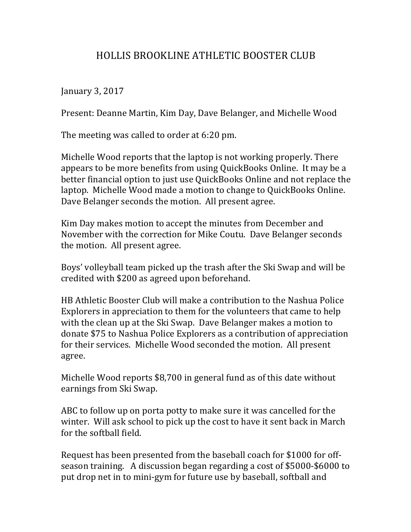## HOLLIS BROOKLINE ATHLETIC BOOSTER CLUB

January 3, 2017

Present: Deanne Martin, Kim Day, Dave Belanger, and Michelle Wood

The meeting was called to order at 6:20 pm.

Michelle Wood reports that the laptop is not working properly. There appears to be more benefits from using QuickBooks Online. It may be a better financial option to just use QuickBooks Online and not replace the laptop. Michelle Wood made a motion to change to QuickBooks Online. Dave Belanger seconds the motion. All present agree.

Kim Day makes motion to accept the minutes from December and November with the correction for Mike Coutu. Dave Belanger seconds the motion. All present agree.

Boys' volleyball team picked up the trash after the Ski Swap and will be credited with \$200 as agreed upon beforehand.

HB Athletic Booster Club will make a contribution to the Nashua Police Explorers in appreciation to them for the volunteers that came to help with the clean up at the Ski Swap. Dave Belanger makes a motion to donate \$75 to Nashua Police Explorers as a contribution of appreciation for their services. Michelle Wood seconded the motion. All present agree.

Michelle Wood reports \$8,700 in general fund as of this date without earnings from Ski Swap.

ABC to follow up on porta potty to make sure it was cancelled for the winter. Will ask school to pick up the cost to have it sent back in March for the softball field.

Request has been presented from the baseball coach for \$1000 for offseason training. A discussion began regarding a cost of \$5000-\$6000 to put drop net in to mini-gym for future use by baseball, softball and